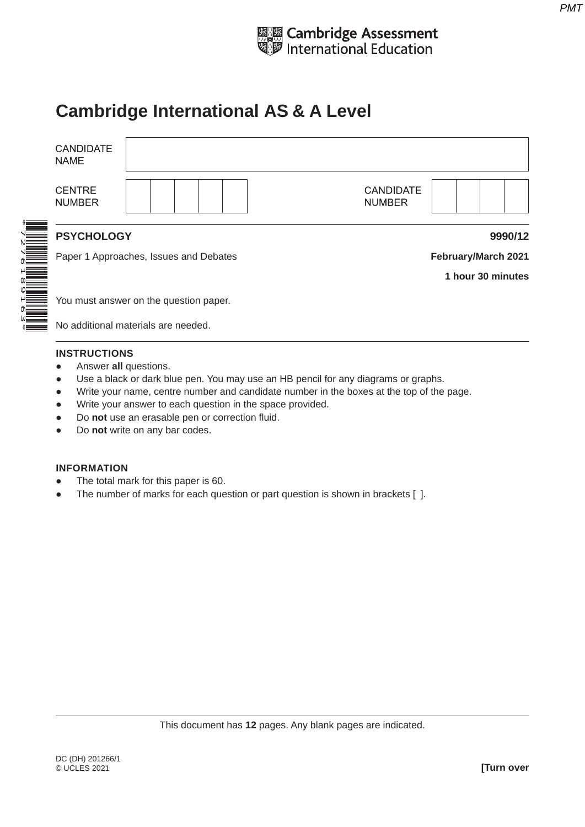

# **Cambridge International AS & A Level**

| <b>CANDIDATE</b><br><b>NAME</b>        |                                     |                                   |  |
|----------------------------------------|-------------------------------------|-----------------------------------|--|
| <b>CENTRE</b><br><b>NUMBER</b>         |                                     | <b>CANDIDATE</b><br><b>NUMBER</b> |  |
| <b>PSYCHOLOGY</b>                      |                                     | 9990/12                           |  |
| Paper 1 Approaches, Issues and Debates |                                     | February/March 2021               |  |
|                                        |                                     | 1 hour 30 minutes                 |  |
| You must answer on the question paper. |                                     |                                   |  |
|                                        | No additional materials are needed. |                                   |  |

#### **INSTRUCTIONS**

- **•** Answer all questions.
- Use a black or dark blue pen. You may use an HB pencil for any diagrams or graphs.
- Write your name, centre number and candidate number in the boxes at the top of the page.
- Write your answer to each question in the space provided.
- Do **not** use an erasable pen or correction fluid.
- Do **not** write on any bar codes.

#### **INFORMATION**

- The total mark for this paper is 60.
- The number of marks for each question or part question is shown in brackets [ ].

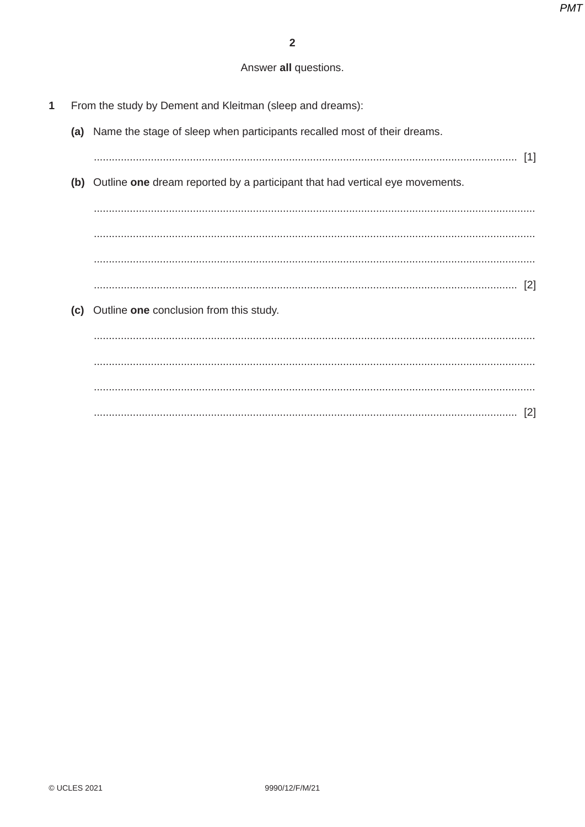# Answer all questions.

- From the study by Dement and Kleitman (sleep and dreams):  $\overline{1}$ 
	- (a) Name the stage of sleep when participants recalled most of their dreams. (b) Outline one dream reported by a participant that had vertical eye movements. (c) Outline one conclusion from this study.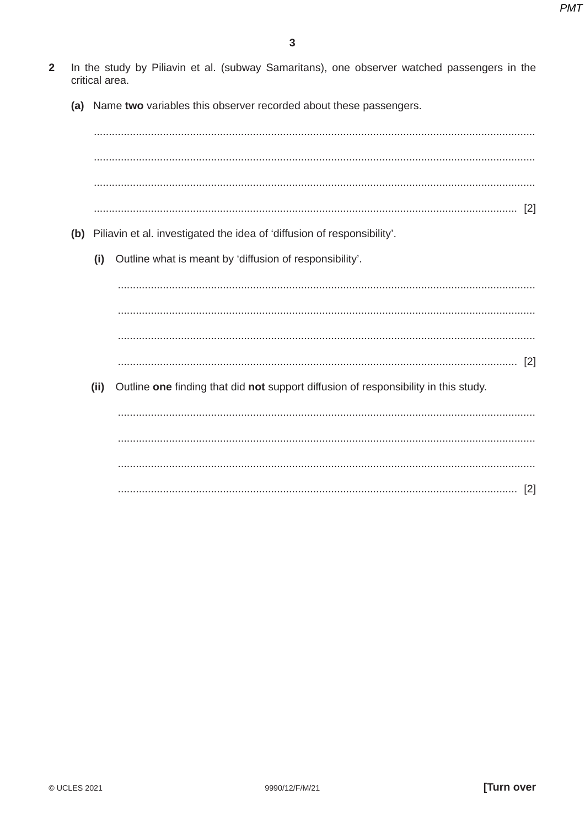- $\overline{2}$ In the study by Piliavin et al. (subway Samaritans), one observer watched passengers in the critical area.
	- (a) Name two variables this observer recorded about these passengers.

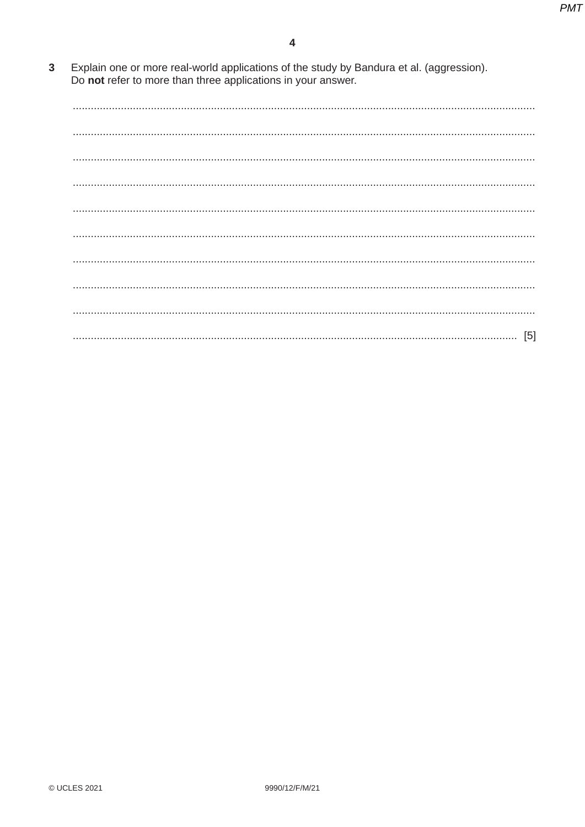Explain one or more real-world applications of the study by Bandura et al. (aggression).  $\mathbf{3}$ Do not refer to more than three applications in your answer.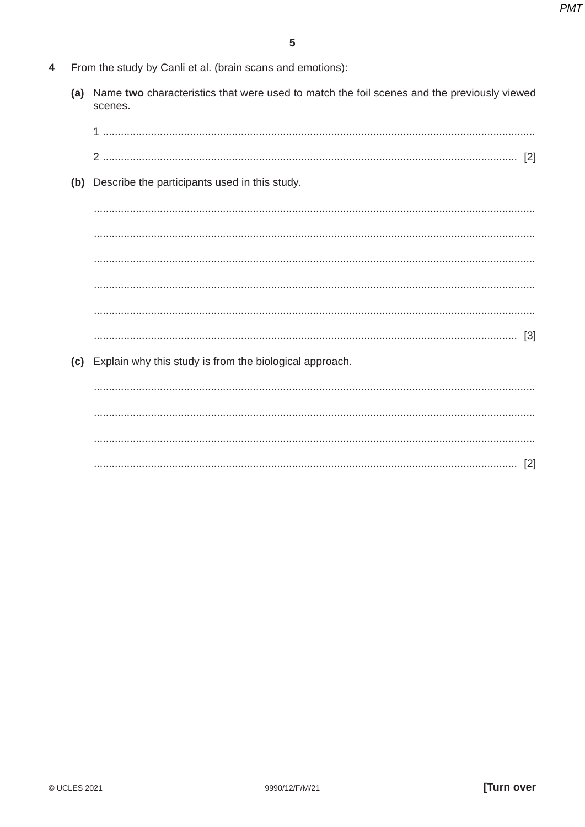- $\overline{\mathbf{4}}$ From the study by Canli et al. (brain scans and emotions):
	- (a) Name two characteristics that were used to match the foil scenes and the previously viewed scenes.

|     | $[2]$                                                   |
|-----|---------------------------------------------------------|
|     | (b) Describe the participants used in this study.       |
|     |                                                         |
|     |                                                         |
|     |                                                         |
|     |                                                         |
|     |                                                         |
|     | $[3]$                                                   |
| (c) | Explain why this study is from the biological approach. |
|     |                                                         |
|     |                                                         |
|     |                                                         |
|     | $[2]$                                                   |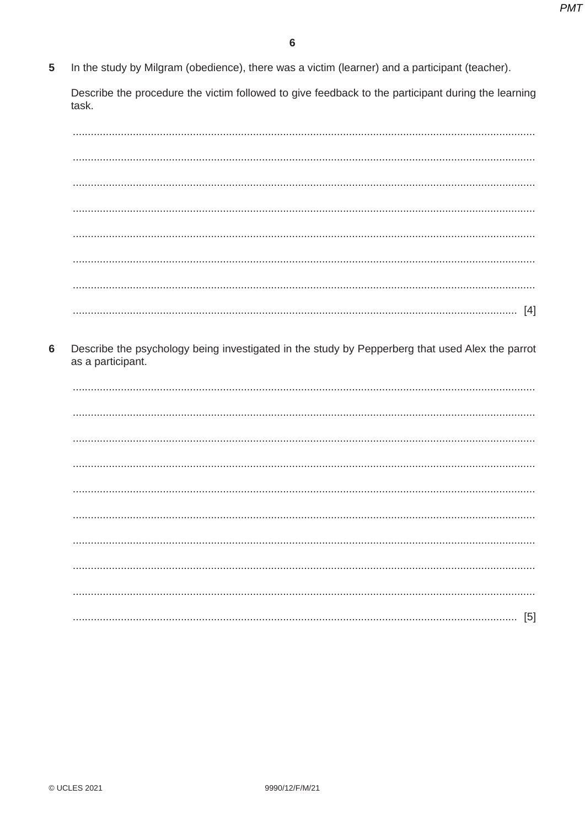5 In the study by Milgram (obedience), there was a victim (learner) and a participant (teacher).

Describe the procedure the victim followed to give feedback to the participant during the learning task.

 $6\phantom{1}6$ Describe the psychology being investigated in the study by Pepperberg that used Alex the parrot as a participant.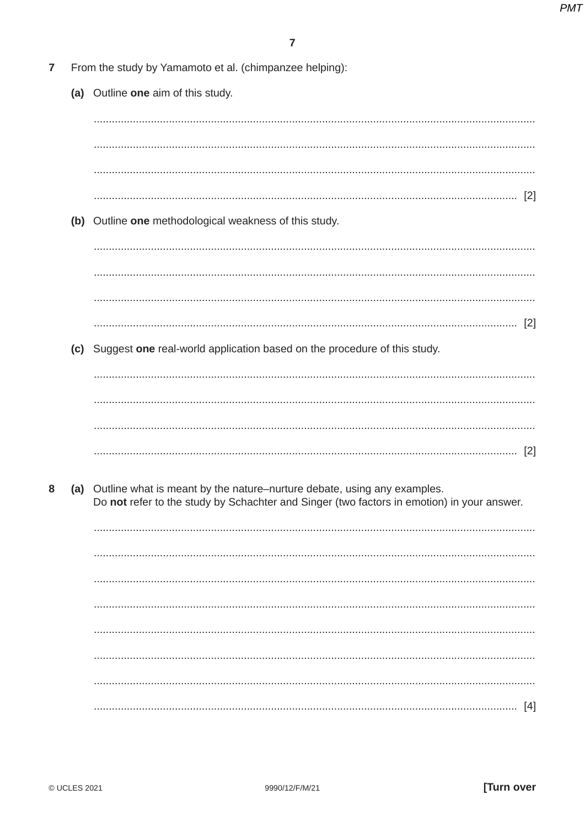| 7 |     | From the study by Yamamoto et al. (chimpanzee helping):                                                                                                               |  |
|---|-----|-----------------------------------------------------------------------------------------------------------------------------------------------------------------------|--|
|   |     | (a) Outline one aim of this study.                                                                                                                                    |  |
|   |     |                                                                                                                                                                       |  |
|   |     |                                                                                                                                                                       |  |
|   |     |                                                                                                                                                                       |  |
|   |     |                                                                                                                                                                       |  |
|   |     | (b) Outline one methodological weakness of this study.                                                                                                                |  |
|   |     |                                                                                                                                                                       |  |
|   |     |                                                                                                                                                                       |  |
|   |     |                                                                                                                                                                       |  |
|   |     | $[2]$                                                                                                                                                                 |  |
|   |     | (c) Suggest one real-world application based on the procedure of this study.                                                                                          |  |
|   |     |                                                                                                                                                                       |  |
|   |     |                                                                                                                                                                       |  |
|   |     | $[2]$                                                                                                                                                                 |  |
|   |     |                                                                                                                                                                       |  |
| 8 | (a) | Outline what is meant by the nature–nurture debate, using any examples.<br>Do not refer to the study by Schachter and Singer (two factors in emotion) in your answer. |  |
|   |     |                                                                                                                                                                       |  |
|   |     |                                                                                                                                                                       |  |
|   |     |                                                                                                                                                                       |  |
|   |     |                                                                                                                                                                       |  |
|   |     |                                                                                                                                                                       |  |
|   |     |                                                                                                                                                                       |  |
|   |     |                                                                                                                                                                       |  |
|   |     | $[4]$                                                                                                                                                                 |  |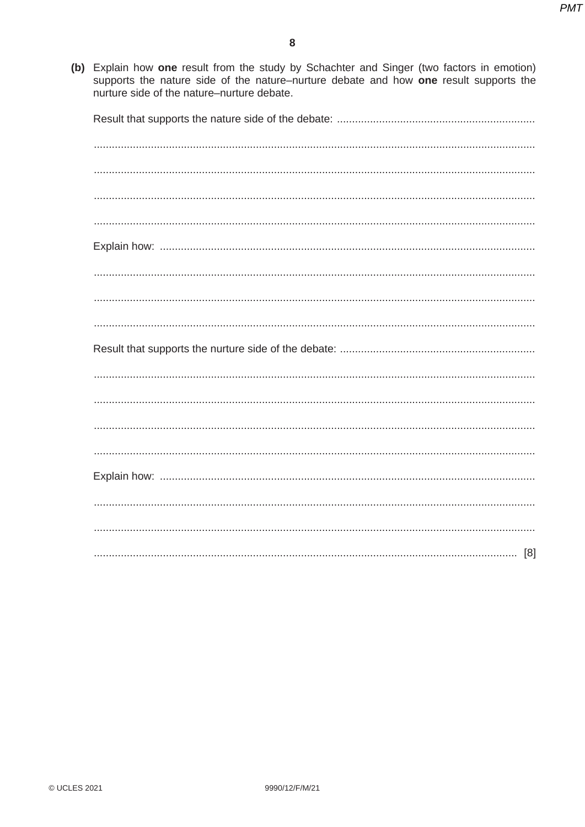- 8
- (b) Explain how one result from the study by Schachter and Singer (two factors in emotion) supports the nature side of the nature-nurture debate and how one result supports the nurture side of the nature-nurture debate.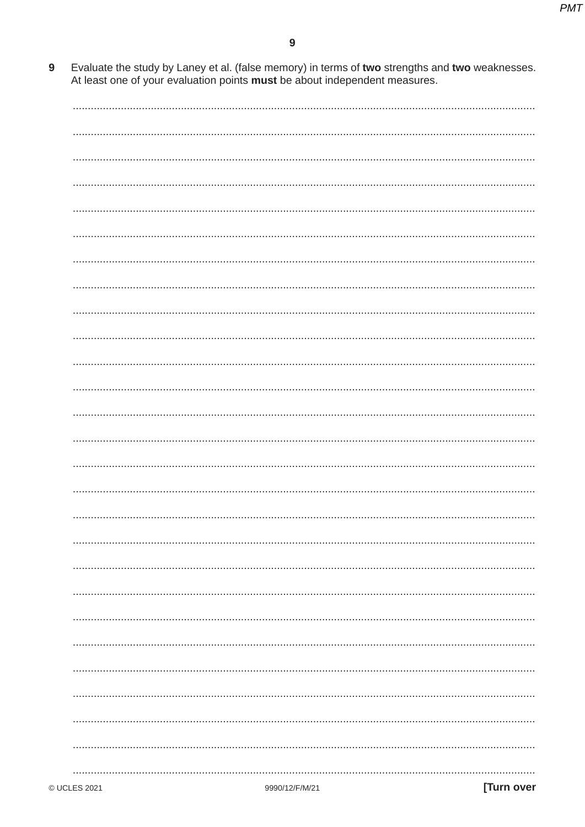Evaluate the study by Laney et al. (false memory) in terms of two strengths and two weaknesses.<br>At least one of your evaluation points must be about independent measures.  $9$ 

| FT-completed |  |
|--------------|--|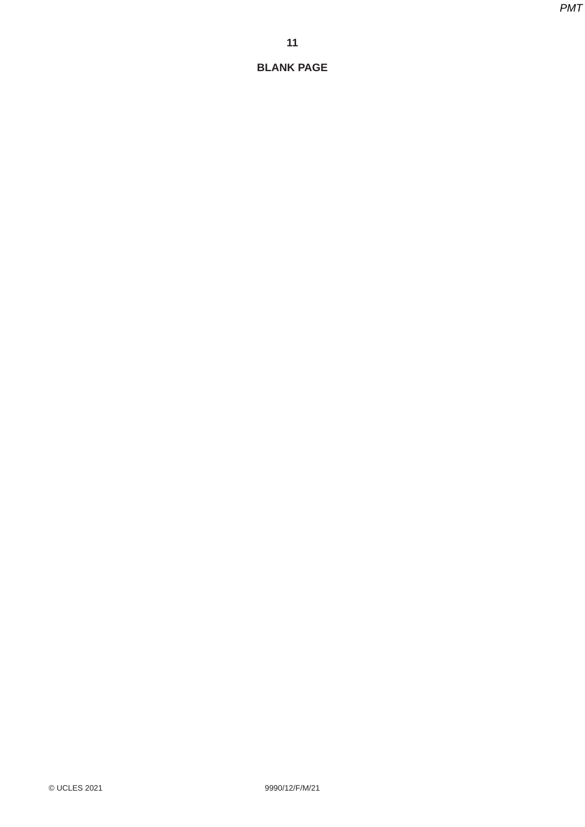## $11$

## **BLANK PAGE**